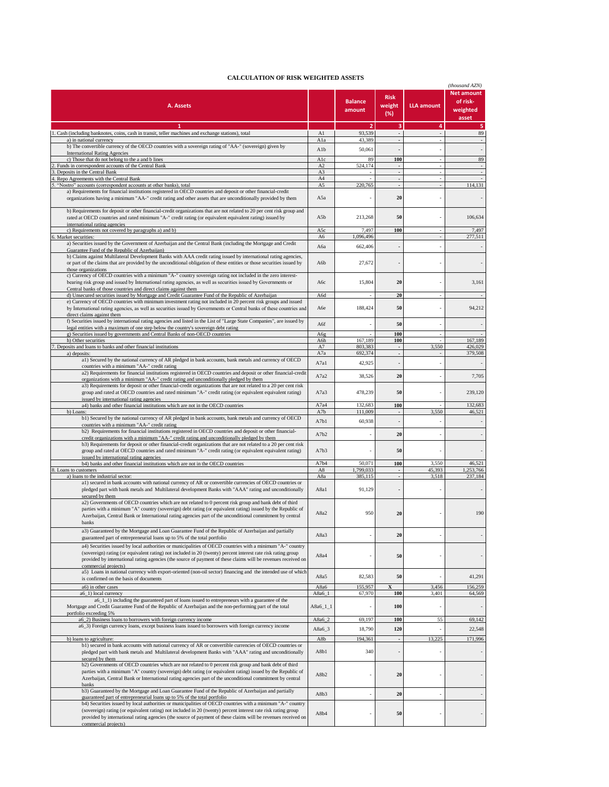## **CALCULATION OF RISK WEIGHTED ASSETS**

| CALCOLATION OF KISK WEIGHTED ASSETS                                                                                                                                                                                                                                                                                                                                  |              |                          |                              |                   | (thousand AZN)                                     |
|----------------------------------------------------------------------------------------------------------------------------------------------------------------------------------------------------------------------------------------------------------------------------------------------------------------------------------------------------------------------|--------------|--------------------------|------------------------------|-------------------|----------------------------------------------------|
| A. Assets                                                                                                                                                                                                                                                                                                                                                            |              | <b>Balance</b><br>amount | <b>Risk</b><br>weight<br>(%) | <b>LLA amount</b> | <b>Net amount</b><br>of risk-<br>weighted<br>asset |
| $\mathbf{1}$                                                                                                                                                                                                                                                                                                                                                         |              | $\overline{2}$           | 3                            | 4                 | 5                                                  |
| 1. Cash (including banknotes, coins, cash in transit, teller machines and exchange stations), total                                                                                                                                                                                                                                                                  | A1           | 93,539                   | ÷.                           |                   | 89                                                 |
| a) in national currency<br>b) The convertible currency of the OECD countries with a sovereign rating of "AA-" (sovereign) given by                                                                                                                                                                                                                                   | Ala          | 43.389                   |                              |                   |                                                    |
| <b>International Rating Agencies</b>                                                                                                                                                                                                                                                                                                                                 | Alb          | 50,061                   |                              |                   |                                                    |
| c) Those that do not belong to the a and b lines                                                                                                                                                                                                                                                                                                                     | Alc          | 89                       | 100                          |                   | 89                                                 |
| Funds in correspondent accounts of the Central Bank                                                                                                                                                                                                                                                                                                                  | A2           | 524,174                  | $\blacksquare$               | ÷,                | $\overline{\phantom{a}}$                           |
| Deposits in the Central Bank<br>Repo Agreements with the Central Bank                                                                                                                                                                                                                                                                                                | A3<br>A4     |                          | $\mathbf{r}$                 |                   |                                                    |
| "Nostro" accounts (correspondent accounts at other banks), total                                                                                                                                                                                                                                                                                                     | A5           | 220,765                  |                              |                   | 114,131                                            |
| a) Requirements for financial institutions registered in OECD countries and deposit or other financial-credit<br>organizations having a minimum "AA-" credit rating and other assets that are unconditionally provided by them                                                                                                                                       | A5a          |                          | 20                           |                   |                                                    |
| b) Requirements for deposit or other financial-credit organizations that are not related to 20 per cent risk group and<br>rated at OECD countries and rated minimum "A-" credit rating (or equivalent equivalent rating) issued by<br>international rating agencies                                                                                                  | A5b          | 213,268                  | 50                           |                   | 106,634                                            |
| c) Requirements not covered by paragraphs a) and b)                                                                                                                                                                                                                                                                                                                  | A5c          | 7,497                    | 100                          |                   | 7,497                                              |
| 5. Market securities:                                                                                                                                                                                                                                                                                                                                                | A6           | 1,096,496                |                              |                   | 277,511                                            |
| a) Securities issued by the Government of Azerbaijan and the Central Bank (including the Mortgage and Credit                                                                                                                                                                                                                                                         | Аба          | 662,406                  |                              |                   |                                                    |
| Guarantee Fund of the Republic of Azerbaijan)<br>b) Claims against Multilateral Development Banks with AAA credit rating issued by international rating agencies,                                                                                                                                                                                                    |              |                          |                              |                   |                                                    |
| or part of the claims that are provided by the unconditional obligation of these entities or those securities issued by<br>those organizations                                                                                                                                                                                                                       | A6b          | 27,672                   |                              |                   |                                                    |
| c) Currency of OECD countries with a minimum "A-" country sovereign rating not included in the zero interest-<br>bearing risk group and issued by International rating agencies, as well as securities issued by Governments or<br>Central banks of those countries and direct claims against them                                                                   | Абс          | 15,804                   | 20                           |                   | 3,161                                              |
| d) Unsecured securities issued by Mortgage and Credit Guarantee Fund of the Republic of Azerbaijan<br>e) Currency of OECD countries with minimum investment rating not included in 20 percent risk groups and issued                                                                                                                                                 | A6d          |                          | 20                           |                   |                                                    |
| by International rating agencies, as well as securities issued by Governments or Central banks of these countries and<br>direct claims against them                                                                                                                                                                                                                  | A6e          | 188,424                  | 50                           |                   | 94,212                                             |
| f) Securities issued by international rating agencies and listed in the List of "Large State Companies", are issued by                                                                                                                                                                                                                                               | A6f          |                          | 50                           |                   |                                                    |
| legal entities with a maximum of one step below the country's sovereign debt rating<br>g) Securities issued by governments and Central Banks of non-OECD countries                                                                                                                                                                                                   | A6g          |                          | 100                          |                   |                                                    |
| h) Other securities                                                                                                                                                                                                                                                                                                                                                  | A6h          | 167,189                  | 100                          |                   | 167.189                                            |
| Deposits and loans to banks and other financial institutions                                                                                                                                                                                                                                                                                                         | A7           | 803,383                  | ä,                           | 3,550             | 426,029                                            |
| a) deposits:<br>a1) Secured by the national currency of AR pledged in bank accounts, bank metals and currency of OECD                                                                                                                                                                                                                                                | A7a          | 692,374                  | $\overline{\phantom{a}}$     |                   | 379,508                                            |
| countries with a minimum "AA-" credit rating<br>a2) Requirements for financial institutions registered in OECD countries and deposit or other financial-credit                                                                                                                                                                                                       | A7a1         | 42,925                   |                              |                   |                                                    |
| organizations with a minimum "AA-" credit rating and unconditionally pledged by them<br>a3) Requirements for deposit or other financial-credit organizations that are not related to a 20 per cent risk                                                                                                                                                              | A7a2         | 38,526                   | 20                           |                   | 7,705                                              |
| group and rated at OECD countries and rated minimum "A-" credit rating (or equivalent equivalent rating)<br>issued by international rating agencies<br>a4) banks and other financial institutions which are not in the OECD countries                                                                                                                                | A7a3<br>A7a4 | 478,239<br>132.683       | 50<br>100                    |                   | 239,120<br>132,683                                 |
| b) Loans:                                                                                                                                                                                                                                                                                                                                                            | A7b          | 111,009                  |                              | 3,550             | 46,521                                             |
| b1) Secured by the national currency of AR pledged in bank accounts, bank metals and currency of OECD                                                                                                                                                                                                                                                                | A7b1         | 60,938                   |                              |                   |                                                    |
| countries with a minimum "AA-" credit rating<br>b2) Requirements for financial institutions registered in OECD countries and deposit or other financial-<br>credit organizations with a minimum "AA-" credit rating and unconditionally pledged by them                                                                                                              | A7b2         |                          | 20                           |                   |                                                    |
| b3) Requirements for deposit or other financial-credit organizations that are not related to a 20 per cent risk<br>group and rated at OECD countries and rated minimum "A-" credit rating (or equivalent equivalent rating)                                                                                                                                          | A7b3         |                          | 50                           |                   |                                                    |
| issued by international rating agencies<br>b4) banks and other financial institutions which are not in the OECD countries                                                                                                                                                                                                                                            | A7b4         | 50,071                   | 100                          | 3,550             | 46,521                                             |
| 8. Loans to customers                                                                                                                                                                                                                                                                                                                                                | A8           | 1.799.033                | $\overline{\phantom{a}}$     | 45,393            | 1,253,766                                          |
| a) loans to the industrial sector:                                                                                                                                                                                                                                                                                                                                   | A8a          | 385,115                  | $\blacksquare$               | 3,518             | 237.184                                            |
| a1) secured in bank accounts with national currency of AR or convertible currencies of OECD countries or<br>pledged part with bank metals and Multilateral development Banks with "AAA" rating and unconditionally<br>secured by them                                                                                                                                | A8a1         | 91,129                   |                              |                   |                                                    |
| a2) Governments of OECD countries which are not related to 0 percent risk group and bank debt of third<br>parties with a minimum "A" country (sovereign) debt rating (or equivalent rating) issued by the Republic of<br>Azerbaijan, Central Bank or International rating agencies part of the unconditional commitment by central<br>banks                          | A8a2         | 950                      | 20                           |                   | 190                                                |
| a3) Guaranteed by the Mortgage and Loan Guarantee Fund of the Republic of Azerbaijan and partially<br>guaranteed part of entrepreneurial loans up to 5% of the total portfolio                                                                                                                                                                                       | A8a3         |                          | 20                           |                   |                                                    |
| a4) Securities issued by local authorities or municipalities of OECD countries with a minimum "A-" country<br>(sovereign) rating (or equivalent rating) not included in 20 (twenty) percent interest rate risk rating group<br>provided by international rating agencies (the source of payment of these claims will be revenues received on<br>commercial projects) | A8a4         |                          | 50                           |                   | $\overline{\phantom{a}}$                           |
| a5) Loans in national currency with export-oriented (non-oil sector) financing and the intended use of which<br>is confirmed on the basis of documents                                                                                                                                                                                                               | A8a5         | 82,583                   | 50                           |                   | 41,291                                             |
| a6) in other cases                                                                                                                                                                                                                                                                                                                                                   | A8a6         | 155,957                  | $\overline{\mathbf{X}}$      | 3,456             | 156,259                                            |
| a6 1) local currency<br>a6_1_1) including the guaranteed part of loans issued to entrepreneurs with a guarantee of the                                                                                                                                                                                                                                               | A8a6_1       | 67,970                   | 100                          | 3,401             | 64,569                                             |
| Mortgage and Credit Guarantee Fund of the Republic of Azerbaijan and the non-performing part of the total<br>portfolio exceeding 5%                                                                                                                                                                                                                                  | A8a6_1_1     |                          | 100                          |                   |                                                    |
| a6_2) Business loans to borrowers with foreign currency income                                                                                                                                                                                                                                                                                                       | A8a6 2       | 69,197                   | 100                          | 55                | 69,142                                             |
| a6_3) Foreign currency loans, except business loans issued to borrowers with foreign currency income                                                                                                                                                                                                                                                                 | A8a6_3       | 18,790                   | 120                          |                   | 22,548                                             |
| b) loans to agriculture:                                                                                                                                                                                                                                                                                                                                             | A8b          | 194,361                  |                              | 13,225            | 171,996                                            |
| b1) secured in bank accounts with national currency of AR or convertible currencies of OECD countries or<br>pledged part with bank metals and Multilateral development Banks with "AAA" rating and unconditionally<br>secured by them                                                                                                                                | A8b1         | 340                      |                              |                   |                                                    |
| b2) Governments of OECD countries which are not related to 0 percent risk group and bank debt of third<br>parties with a minimum "A" country (sovereign) debt rating (or equivalent rating) issued by the Republic of<br>Azerbaijan, Central Bank or International rating agencies part of the unconditional commitment by central                                   | A8b2         |                          | 20                           |                   | $\overline{\phantom{a}}$                           |
| banks<br>b3) Guaranteed by the Mortgage and Loan Guarantee Fund of the Republic of Azerbaijan and partially<br>guaranteed part of entrepreneurial loans up to 5% of the total portfolio                                                                                                                                                                              | A8b3         |                          | 20                           |                   |                                                    |
| b4) Securities issued by local authorities or municipalities of OECD countries with a minimum "A-" country<br>(sovereign) rating (or equivalent rating) not included in 20 (twenty) percent interest rate risk rating group<br>provided by international rating agencies (the source of payment of these claims will be revenues received on<br>commercial projects) | A8b4         |                          | 50                           |                   | $\overline{\phantom{a}}$                           |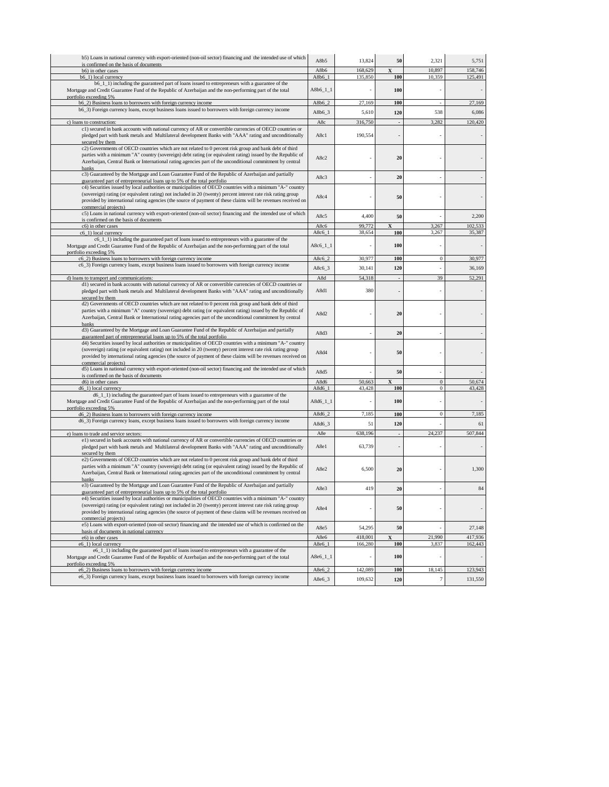| b5) Loans in national currency with export-oriented (non-oil sector) financing and the intended use of which                                                                                                                | A8b5         | 13,824           | 50                             | 2,321            | 5,751            |
|-----------------------------------------------------------------------------------------------------------------------------------------------------------------------------------------------------------------------------|--------------|------------------|--------------------------------|------------------|------------------|
| is confirmed on the basis of documents<br>b6) in other cases                                                                                                                                                                | A8b6         | 168,629          |                                | 10,897           | 158,746          |
| b6_1) local currency                                                                                                                                                                                                        | A8b6 1       | 135,850          | 100                            | 10,359           | 125,491          |
| b6_1_1) including the guaranteed part of loans issued to entrepreneurs with a guarantee of the                                                                                                                              |              |                  | 100                            |                  |                  |
| Mortgage and Credit Guarantee Fund of the Republic of Azerbaijan and the non-performing part of the total<br>portfolio exceeding 5%                                                                                         | A8b6_1_1     |                  |                                |                  |                  |
| b6_2) Business loans to borrowers with foreign currency income                                                                                                                                                              | A8b6_2       | 27,169           | 100                            |                  | 27,169           |
| b6_3) Foreign currency loans, except business loans issued to borrowers with foreign currency income                                                                                                                        | A8b6_3       | 5,610            | 120                            | 538              | 6,086            |
| c) loans to construction:                                                                                                                                                                                                   | A8c          | 316,750          |                                | 3,282            | 120,420          |
| c1) secured in bank accounts with national currency of AR or convertible currencies of OECD countries or                                                                                                                    |              |                  |                                |                  |                  |
| pledged part with bank metals and Multilateral development Banks with "AAA" rating and unconditionally                                                                                                                      | A8c1         | 190,554          |                                |                  |                  |
| secured by them                                                                                                                                                                                                             |              |                  |                                |                  |                  |
| c2) Governments of OECD countries which are not related to 0 percent risk group and bank debt of third                                                                                                                      |              |                  |                                |                  |                  |
| parties with a minimum "A" country (sovereign) debt rating (or equivalent rating) issued by the Republic of<br>Azerbaijan, Central Bank or International rating agencies part of the unconditional commitment by central    | A8c2         |                  | 20                             |                  |                  |
| banks                                                                                                                                                                                                                       |              |                  |                                |                  |                  |
| c3) Guaranteed by the Mortgage and Loan Guarantee Fund of the Republic of Azerbaijan and partially                                                                                                                          | A8c3         |                  | 20                             |                  |                  |
| guaranteed part of entrepreneurial loans up to 5% of the total portfolio                                                                                                                                                    |              |                  |                                |                  |                  |
| c4) Securities issued by local authorities or municipalities of OECD countries with a minimum "A-" country<br>(sovereign) rating (or equivalent rating) not included in 20 (twenty) percent interest rate risk rating group |              |                  |                                |                  |                  |
| provided by international rating agencies (the source of payment of these claims will be revenues received on                                                                                                               | A8c4         |                  | 50                             |                  |                  |
| commercial projects)                                                                                                                                                                                                        |              |                  |                                |                  |                  |
| c5) Loans in national currency with export-oriented (non-oil sector) financing and the intended use of which                                                                                                                | A8c5         | 4,400            | 50                             |                  | 2,200            |
| is confirmed on the basis of documents<br>c6) in other cases                                                                                                                                                                | A8c6         | 99,772           |                                | 3,267            | 102,533          |
| c6_1) local currency                                                                                                                                                                                                        | A8c6         | 38,654           | 100                            | 3,267            | 35,387           |
| c6_1_1) including the guaranteed part of loans issued to entrepreneurs with a guarantee of the                                                                                                                              |              |                  |                                |                  |                  |
| Mortgage and Credit Guarantee Fund of the Republic of Azerbaijan and the non-performing part of the total                                                                                                                   | $A8c6_11_1$  |                  | 100                            |                  |                  |
| portfolio exceeding 5%<br>c6_2) Business loans to borrowers with foreign currency income                                                                                                                                    | A8c6_2       | 30,977           | 100                            | $\boldsymbol{0}$ | 30,977           |
| c6_3) Foreign currency loans, except business loans issued to borrowers with foreign currency income                                                                                                                        |              |                  |                                |                  |                  |
|                                                                                                                                                                                                                             | A8c6_3       | 30,141           | 120                            |                  | 36,169           |
| d) loans to transport and communications                                                                                                                                                                                    | A8d          | 54,318           |                                | 39               | 52,291           |
| d1) secured in bank accounts with national currency of AR or convertible currencies of OECD countries or<br>pledged part with bank metals and Multilateral development Banks with "AAA" rating and unconditionally          | A8d1         | 380              |                                |                  |                  |
| secured by them                                                                                                                                                                                                             |              |                  |                                |                  |                  |
| d2) Governments of OECD countries which are not related to 0 percent risk group and bank debt of third                                                                                                                      |              |                  |                                |                  |                  |
| parties with a minimum "A" country (sovereign) debt rating (or equivalent rating) issued by the Republic of                                                                                                                 | A8d2         |                  | 20                             |                  |                  |
| Azerbaijan, Central Bank or International rating agencies part of the unconditional commitment by central                                                                                                                   |              |                  |                                |                  |                  |
| banks<br>d3) Guaranteed by the Mortgage and Loan Guarantee Fund of the Republic of Azerbaijan and partially                                                                                                                 |              |                  |                                |                  |                  |
| guaranteed part of entrepreneurial loans up to 5% of the total portfolio                                                                                                                                                    | A8d3         |                  | 20                             |                  |                  |
| d4) Securities issued by local authorities or municipalities of OECD countries with a minimum "A-" country                                                                                                                  |              |                  |                                |                  |                  |
| (sovereign) rating (or equivalent rating) not included in 20 (twenty) percent interest rate risk rating group                                                                                                               | A8d4         |                  | 50                             |                  |                  |
| provided by international rating agencies (the source of payment of these claims will be revenues received on<br>commercial projects)                                                                                       |              |                  |                                |                  |                  |
| d5) Loans in national currency with export-oriented (non-oil sector) financing and the intended use of which                                                                                                                | A8d5         |                  | 50                             |                  |                  |
| is confirmed on the basis of documents                                                                                                                                                                                      |              |                  |                                |                  |                  |
| d6) in other cases                                                                                                                                                                                                          | A8d6<br>A8d6 | 50,663<br>43,428 | $\overline{\mathbf{x}}$<br>100 | $\Omega$<br>0    | 50,674<br>43,428 |
| d6_1) local currency<br>d6_1_1) including the guaranteed part of loans issued to entrepreneurs with a guarantee of the                                                                                                      |              |                  |                                |                  |                  |
| Mortgage and Credit Guarantee Fund of the Republic of Azerbaijan and the non-performing part of the total                                                                                                                   | $A8d6_l_l_l$ |                  | 100                            |                  |                  |
| portfolio exceeding 5%                                                                                                                                                                                                      |              |                  |                                |                  |                  |
| d6_2) Business loans to borrowers with foreign currency income                                                                                                                                                              | A8d6_2       | 7,185            | 100                            | $\boldsymbol{0}$ | 7,185            |
| d6_3) Foreign currency loans, except business loans issued to borrowers with foreign currency income                                                                                                                        | A8d6_3       | 51               | 120                            |                  | 61               |
| e) loans to trade and service sectors:                                                                                                                                                                                      | A8e          | 638,196          |                                | 24,237           | 507,844          |
| e1) secured in bank accounts with national currency of AR or convertible currencies of OECD countries or                                                                                                                    |              |                  |                                |                  |                  |
| pledged part with bank metals and Multilateral development Banks with "AAA" rating and unconditionally                                                                                                                      | A8e1         | 63,739           |                                |                  |                  |
| secured by them<br>e2) Governments of OECD countries which are not related to 0 percent risk group and bank debt of third                                                                                                   |              |                  |                                |                  |                  |
| parties with a minimum "A" country (sovereign) debt rating (or equivalent rating) issued by the Republic of                                                                                                                 |              |                  |                                |                  |                  |
| Azerbaijan, Central Bank or International rating agencies part of the unconditional commitment by central                                                                                                                   | A8e2         | 6,500            | 20                             |                  | 1,300            |
| banks                                                                                                                                                                                                                       |              |                  |                                |                  |                  |
| e3) Guaranteed by the Mortgage and Loan Guarantee Fund of the Republic of Azerbaijan and partially<br>guaranteed part of entrepreneurial loans up to 5% of the total portfolio                                              | A8e3         | 419              | 20                             |                  | 84               |
| e4) Securities issued by local authorities or municipalities of OECD countries with a minimum "A-" country                                                                                                                  |              |                  |                                |                  |                  |
| (sovereign) rating (or equivalent rating) not included in 20 (twenty) percent interest rate risk rating group                                                                                                               | A8e4         |                  | 50                             |                  |                  |
| provided by international rating agencies (the source of payment of these claims will be revenues received on                                                                                                               |              |                  |                                |                  |                  |
| commercial projects)<br>e5) Loans with export-oriented (non-oil sector) financing and the intended use of which is confirmed on the                                                                                         |              |                  |                                |                  |                  |
| basis of documents in national currency                                                                                                                                                                                     | A8e5         | 54,295           | 50                             |                  | 27,148           |
| e6) in other cases                                                                                                                                                                                                          | A8e6         | 418,001          |                                | 21,990           | 417,936          |
| e6_1) local currency                                                                                                                                                                                                        | A8e6_1       | 166,280          | 100                            | 3,837            | 162,443          |
| e6_1_1) including the guaranteed part of loans issued to entrepreneurs with a guarantee of the                                                                                                                              |              |                  | 100                            |                  |                  |
| Mortgage and Credit Guarantee Fund of the Republic of Azerbaijan and the non-performing part of the total<br>portfolio exceeding 5%                                                                                         | $A8e6_11_1$  |                  |                                |                  |                  |
| e6 2) Business loans to borrowers with foreign currency income                                                                                                                                                              | A8e6_2       | 142,089          | 100                            | 18,145           | 123,943          |
| e6_3) Foreign currency loans, except business loans issued to borrowers with foreign currency income                                                                                                                        | A8e6_3       | 109,632          | 120                            | 7                | 131,550          |
|                                                                                                                                                                                                                             |              |                  |                                |                  |                  |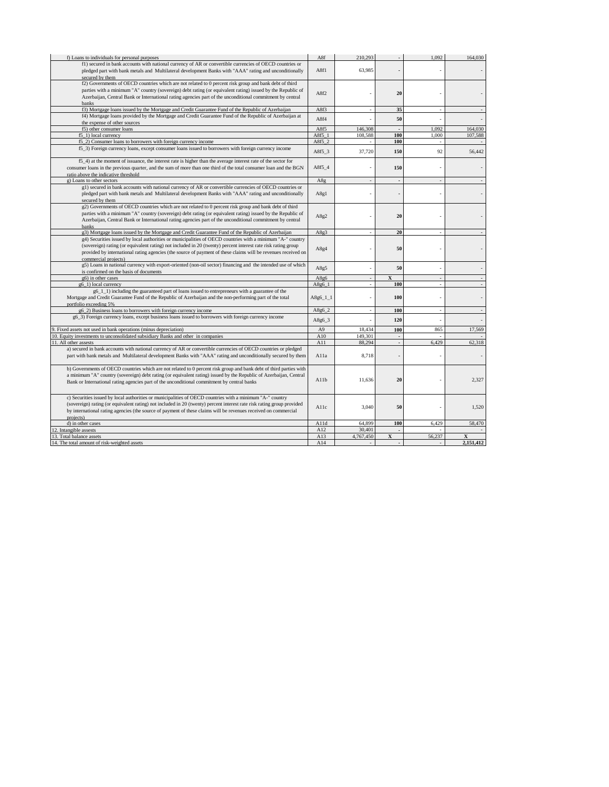| f) Loans to individuals for personal purposes                                                                          | A8f            | 210,293   |                         | 1,092  | 164,030   |
|------------------------------------------------------------------------------------------------------------------------|----------------|-----------|-------------------------|--------|-----------|
| f1) secured in bank accounts with national currency of AR or convertible currencies of OECD countries or               |                |           |                         |        |           |
| pledged part with bank metals and Multilateral development Banks with "AAA" rating and unconditionally                 | A8f1           | 63,985    |                         |        |           |
| secured by them                                                                                                        |                |           |                         |        |           |
| f2) Governments of OECD countries which are not related to 0 percent risk group and bank debt of third                 |                |           |                         |        |           |
|                                                                                                                        |                |           |                         |        |           |
| parties with a minimum "A" country (sovereign) debt rating (or equivalent rating) issued by the Republic of            | A8f2           |           | 20                      |        |           |
| Azerbaijan, Central Bank or International rating agencies part of the unconditional commitment by central              |                |           |                         |        |           |
| banks                                                                                                                  |                |           |                         |        |           |
| f3) Mortgage loans issued by the Mortgage and Credit Guarantee Fund of the Republic of Azerbaijan                      | A8f3           |           | 35                      |        |           |
| f4) Mortgage loans provided by the Mortgage and Credit Guarantee Fund of the Republic of Azerbaijan at                 |                |           |                         |        |           |
|                                                                                                                        | A8f4           |           | 50                      |        |           |
| the expense of other sources                                                                                           |                |           |                         |        |           |
| f5) other consumer loans                                                                                               | A8f5           | 146,308   |                         | 1.092  | 164,030   |
| f5 1) local currency                                                                                                   | A8f5 1         | 108.588   | 100                     | 1.000  | 107.588   |
| f5_2) Consumer loans to borrowers with foreign currency income                                                         | A8f5 2         |           | 100                     |        |           |
| f5_3) Foreign currency loans, except consumer loans issued to borrowers with foreign currency income                   |                |           |                         |        |           |
|                                                                                                                        | $A8f5_3$       | 37,720    | 150                     | 92     | 56,442    |
|                                                                                                                        |                |           |                         |        |           |
| f5_4) at the moment of issuance, the interest rate is higher than the average interest rate of the sector for          |                |           |                         |        |           |
| consumer loans in the previous quarter, and the sum of more than one third of the total consumer loan and the BGN      | A8f5 4         |           | 150                     |        |           |
| ratio above the indicative threshold                                                                                   |                |           |                         |        |           |
| g) Loans to other sectors                                                                                              | A8g            |           |                         |        |           |
| g1) secured in bank accounts with national currency of AR or convertible currencies of OECD countries or               |                |           |                         |        |           |
|                                                                                                                        |                |           |                         |        |           |
| pledged part with bank metals and Multilateral development Banks with "AAA" rating and unconditionally                 | A8g1           |           |                         |        |           |
| secured by them                                                                                                        |                |           |                         |        |           |
| g2) Governments of OECD countries which are not related to 0 percent risk group and bank debt of third                 |                |           |                         |        |           |
| parties with a minimum "A" country (sovereign) debt rating (or equivalent rating) issued by the Republic of            |                |           |                         |        |           |
| Azerbaijan, Central Bank or International rating agencies part of the unconditional commitment by central              | A8g2           |           | 20                      |        |           |
|                                                                                                                        |                |           |                         |        |           |
| banks                                                                                                                  |                |           |                         |        |           |
| g3) Mortgage loans issued by the Mortgage and Credit Guarantee Fund of the Republic of Azerbaijan                      | A8g3           |           | 20                      |        |           |
| g4) Securities issued by local authorities or municipalities of OECD countries with a minimum "A-" country             |                |           |                         |        |           |
| (sovereign) rating (or equivalent rating) not included in 20 (twenty) percent interest rate risk rating group          |                |           |                         |        |           |
| provided by international rating agencies (the source of payment of these claims will be revenues received on          | A8g4           |           | 50                      |        |           |
| commercial projects)                                                                                                   |                |           |                         |        |           |
|                                                                                                                        |                |           |                         |        |           |
| g5) Loans in national currency with export-oriented (non-oil sector) financing and the intended use of which           | A8g5           |           | 50                      |        |           |
| is confirmed on the basis of documents                                                                                 |                |           |                         |        |           |
| g6) in other cases                                                                                                     | A8g6           |           | $\overline{\mathbf{x}}$ |        |           |
| g6 1) local currency                                                                                                   | $A8g6$ 1       |           | 100                     |        |           |
| g6_1_1) including the guaranteed part of loans issued to entrepreneurs with a guarantee of the                         |                |           |                         |        |           |
|                                                                                                                        | $A8g6_11_1$    |           | 100                     |        |           |
| Mortgage and Credit Guarantee Fund of the Republic of Azerbaijan and the non-performing part of the total              |                |           |                         |        |           |
| portfolio exceeding 5%                                                                                                 |                |           |                         |        |           |
| g6_2) Business loans to borrowers with foreign currency income                                                         | A8g6_2         |           | 100                     |        |           |
| g6_3) Foreign currency loans, except business loans issued to borrowers with foreign currency income                   | A8g6 3         |           | 120                     |        |           |
|                                                                                                                        |                |           |                         |        |           |
| 9. Fixed assets not used in bank operations (minus depreciation)                                                       | A <sub>9</sub> | 18.434    | 100                     | 865    | 17,569    |
| 10. Equity investments to unconsolidated subsidiary Banks and other in companies                                       | A10            | 149.301   | $\sim$                  |        |           |
|                                                                                                                        | A11            |           |                         | 6.429  | 62.318    |
| 11. All other assests                                                                                                  |                | 88.294    |                         |        |           |
| a) secured in bank accounts with national currency of AR or convertible currencies of OECD countries or pledged        |                |           |                         |        |           |
| part with bank metals and Multilateral development Banks with "AAA" rating and unconditionally secured by them         | Alla           | 8.718     |                         |        |           |
|                                                                                                                        |                |           |                         |        |           |
| b) Governments of OECD countries which are not related to 0 percent risk group and bank debt of third parties with     |                |           |                         |        |           |
| a minimum "A" country (sovereign) debt rating (or equivalent rating) issued by the Republic of Azerbaijan, Central     |                |           |                         |        |           |
|                                                                                                                        | A11b           | 11,636    | 20                      |        | 2,327     |
| Bank or International rating agencies part of the unconditional commitment by central banks                            |                |           |                         |        |           |
|                                                                                                                        |                |           |                         |        |           |
| c) Securities issued by local authorities or municipalities of OECD countries with a minimum "A-" country              |                |           |                         |        |           |
|                                                                                                                        |                |           |                         |        |           |
| (sovereign) rating (or equivalent rating) not included in 20 (twenty) percent interest rate risk rating group provided | Allc           | 3,040     | 50                      |        | 1,520     |
| by international rating agencies (the source of payment of these claims will be revenues received on commercial        |                |           |                         |        |           |
| projects)                                                                                                              |                |           |                         |        |           |
| d) in other cases                                                                                                      | A11d           | 64,899    | 100                     | 6,429  | 58,470    |
| Intangible assests                                                                                                     | A12            | 30,40     |                         |        |           |
| 13                                                                                                                     |                |           |                         |        |           |
| Total balance assets                                                                                                   | A13            | 4,767,450 | X                       | 56,237 |           |
| The total amount of risk-weighted assets<br>14.                                                                        | A14            |           |                         |        | 2,151,412 |